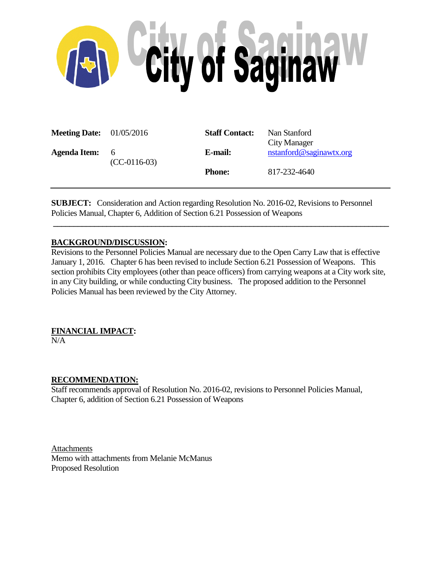

| <b>Meeting Date:</b> $01/05/2016$ |                       | <b>Staff Contact:</b> | Nan Stanford<br>City Manager |
|-----------------------------------|-----------------------|-----------------------|------------------------------|
| <b>Agenda Item:</b>               | - 6<br>$(CC-0116-03)$ | E-mail:               | nstanford@saginawtx.org      |
|                                   |                       | <b>Phone:</b>         | 817-232-4640                 |

**SUBJECT:** Consideration and Action regarding Resolution No. 2016-02, Revisions to Personnel Policies Manual, Chapter 6, Addition of Section 6.21 Possession of Weapons

# **BACKGROUND/DISCUSSION:**

Revisions to the Personnel Policies Manual are necessary due to the Open Carry Law that is effective January 1, 2016. Chapter 6 has been revised to include Section 6.21 Possession of Weapons. This section prohibits City employees (other than peace officers) from carrying weapons at a City work site, in any City building, or while conducting City business. The proposed addition to the Personnel Policies Manual has been reviewed by the City Attorney.

**\_\_\_\_\_\_\_\_\_\_\_\_\_\_\_\_\_\_\_\_\_\_\_\_\_\_\_\_\_\_\_\_\_\_\_\_\_\_\_\_\_\_\_\_\_\_\_\_\_\_\_\_\_\_\_\_\_\_\_\_\_\_\_\_\_\_\_\_\_\_\_\_\_\_\_\_\_\_\_\_\_\_**

# **FINANCIAL IMPACT:**

 $N/A$ 

## **RECOMMENDATION:**

Staff recommends approval of Resolution No. 2016-02, revisions to Personnel Policies Manual, Chapter 6, addition of Section 6.21 Possession of Weapons

Attachments Memo with attachments from Melanie McManus Proposed Resolution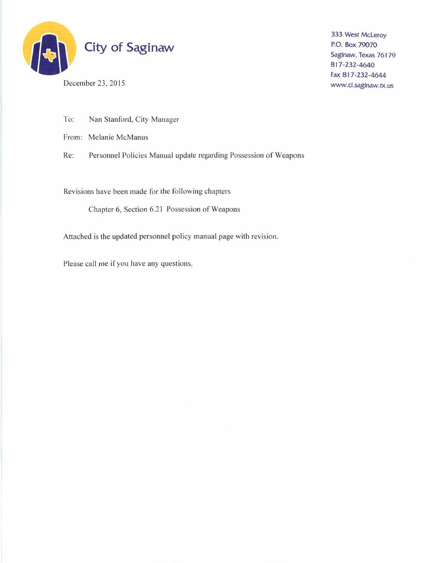

December 23, 2015

333 West McLeroy P.O. Box 79070 Saginaw, Texas 76179 817-232-4640 Fax 817-232-4644 www.ci.saginaw.tx.us

To: Nan Stanford, City Manager

From: Melanie McManus

Personnel Policies Manual update regarding Possession of Weapons Re:

Revisions have been made for the following chapters

Chapter 6, Section 6.21 Possession of Weapons

Attached is the updated personnel policy manual page with revision.

Please call me if you have any questions.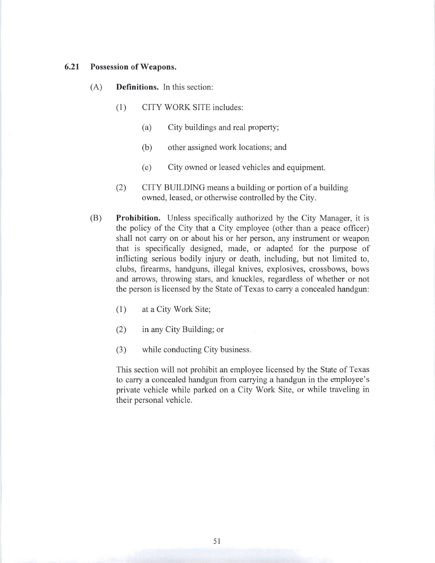#### $6.21$ Possession of Weapons.

- $(A)$ **Definitions.** In this section:
	- $(1)$ CITY WORK SITE includes:
		- $(a)$ City buildings and real property;
		- $(b)$ other assigned work locations; and
		- City owned or leased vehicles and equipment.  $(c)$
	- CITY BUILDING means a building or portion of a building  $(2)$ owned, leased, or otherwise controlled by the City.
- **Prohibition.** Unless specifically authorized by the City Manager, it is (B) the policy of the City that a City employee (other than a peace officer) shall not carry on or about his or her person, any instrument or weapon that is specifically designed, made, or adapted for the purpose of inflicting serious bodily injury or death, including, but not limited to, clubs, firearms, handguns, illegal knives, explosives, crossbows, bows and arrows, throwing stars, and knuckles, regardless of whether or not the person is licensed by the State of Texas to carry a concealed handgun:
	- at a City Work Site;  $(1)$
	- in any City Building; or  $(2)$
	- $(3)$ while conducting City business.

This section will not prohibit an employee licensed by the State of Texas to carry a concealed handgun from carrying a handgun in the employee's private vehicle while parked on a City Work Site, or while traveling in their personal vehicle.